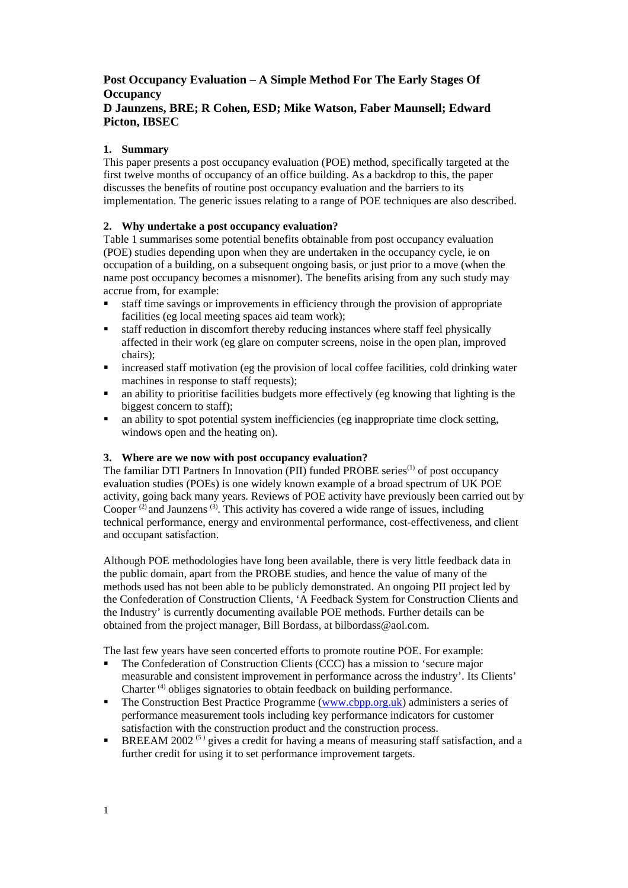# **Post Occupancy Evaluation – A Simple Method For The Early Stages Of Occupancy**

# **D Jaunzens, BRE; R Cohen, ESD; Mike Watson, Faber Maunsell; Edward Picton, IBSEC**

# **1. Summary**

This paper presents a post occupancy evaluation (POE) method, specifically targeted at the first twelve months of occupancy of an office building. As a backdrop to this, the paper discusses the benefits of routine post occupancy evaluation and the barriers to its implementation. The generic issues relating to a range of POE techniques are also described.

# **2. Why undertake a post occupancy evaluation?**

Table 1 summarises some potential benefits obtainable from post occupancy evaluation (POE) studies depending upon when they are undertaken in the occupancy cycle, ie on occupation of a building, on a subsequent ongoing basis, or just prior to a move (when the name post occupancy becomes a misnomer). The benefits arising from any such study may accrue from, for example:

- **staff time savings or improvements in efficiency through the provision of appropriate** facilities (eg local meeting spaces aid team work);
- ß staff reduction in discomfort thereby reducing instances where staff feel physically affected in their work (eg glare on computer screens, noise in the open plan, improved chairs);
- ß increased staff motivation (eg the provision of local coffee facilities, cold drinking water machines in response to staff requests);
- ß an ability to prioritise facilities budgets more effectively (eg knowing that lighting is the biggest concern to staff);
- ß an ability to spot potential system inefficiencies (eg inappropriate time clock setting, windows open and the heating on).

## **3. Where are we now with post occupancy evaluation?**

The familiar DTI Partners In Innovation (PII) funded PROBE series<sup>(1)</sup> of post occupancy evaluation studies (POEs) is one widely known example of a broad spectrum of UK POE activity, going back many years. Reviews of POE activity have previously been carried out by Cooper  $^{(2)}$  and Jaunzens  $^{(3)}$ . This activity has covered a wide range of issues, including technical performance, energy and environmental performance, cost-effectiveness, and client and occupant satisfaction.

Although POE methodologies have long been available, there is very little feedback data in the public domain, apart from the PROBE studies, and hence the value of many of the methods used has not been able to be publicly demonstrated. An ongoing PII project led by the Confederation of Construction Clients, 'A Feedback System for Construction Clients and the Industry' is currently documenting available POE methods. Further details can be obtained from the project manager, Bill Bordass, at bilbordass@aol.com.

The last few years have seen concerted efforts to promote routine POE. For example:

- ß The Confederation of Construction Clients (CCC) has a mission to 'secure major measurable and consistent improvement in performance across the industry'. Its Clients' Charter (4) obliges signatories to obtain feedback on building performance.
- ß The Construction Best Practice Programme (www.cbpp.org.uk) administers a series of performance measurement tools including key performance indicators for customer satisfaction with the construction product and the construction process.
- **BREEAM** 2002<sup>(5)</sup> gives a credit for having a means of measuring staff satisfaction, and a further credit for using it to set performance improvement targets.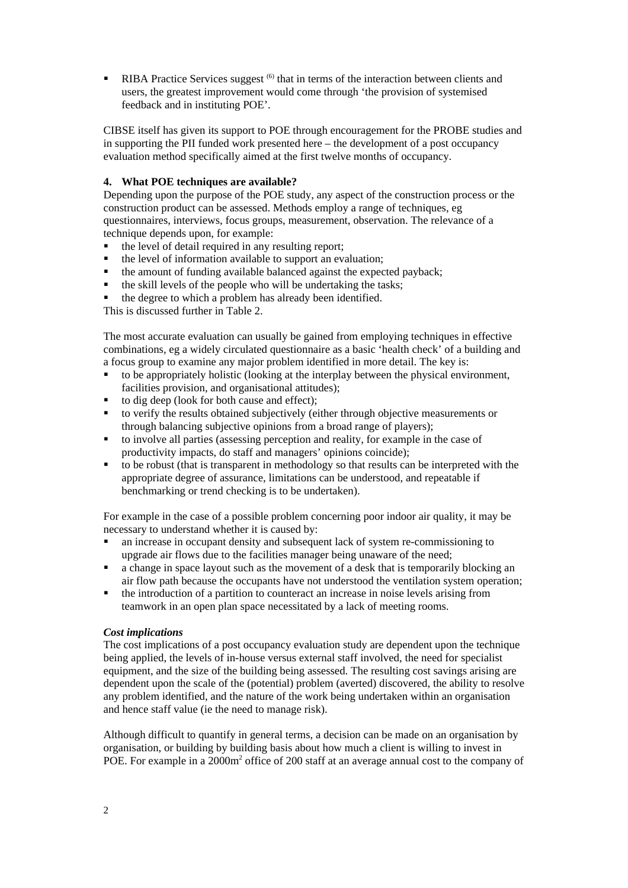**RIBA** Practice Services suggest  $(6)$  that in terms of the interaction between clients and users, the greatest improvement would come through 'the provision of systemised feedback and in instituting POE'.

CIBSE itself has given its support to POE through encouragement for the PROBE studies and in supporting the PII funded work presented here – the development of a post occupancy evaluation method specifically aimed at the first twelve months of occupancy.

#### **4. What POE techniques are available?**

Depending upon the purpose of the POE study, any aspect of the construction process or the construction product can be assessed. Methods employ a range of techniques, eg questionnaires, interviews, focus groups, measurement, observation. The relevance of a technique depends upon, for example:

- ß the level of detail required in any resulting report;
- the level of information available to support an evaluation;
- $\blacksquare$  the amount of funding available balanced against the expected payback;
- ß the skill levels of the people who will be undertaking the tasks;
- ß the degree to which a problem has already been identified.

This is discussed further in Table 2.

The most accurate evaluation can usually be gained from employing techniques in effective combinations, eg a widely circulated questionnaire as a basic 'health check' of a building and a focus group to examine any major problem identified in more detail. The key is:

- ß to be appropriately holistic (looking at the interplay between the physical environment, facilities provision, and organisational attitudes);
- ß to dig deep (look for both cause and effect);
- ß to verify the results obtained subjectively (either through objective measurements or through balancing subjective opinions from a broad range of players);
- ß to involve all parties (assessing perception and reality, for example in the case of productivity impacts, do staff and managers' opinions coincide);
- ß to be robust (that is transparent in methodology so that results can be interpreted with the appropriate degree of assurance, limitations can be understood, and repeatable if benchmarking or trend checking is to be undertaken).

For example in the case of a possible problem concerning poor indoor air quality, it may be necessary to understand whether it is caused by:

- ß an increase in occupant density and subsequent lack of system re-commissioning to upgrade air flows due to the facilities manager being unaware of the need;
- a change in space layout such as the movement of a desk that is temporarily blocking an air flow path because the occupants have not understood the ventilation system operation;
- $\bullet$  the introduction of a partition to counteract an increase in noise levels arising from teamwork in an open plan space necessitated by a lack of meeting rooms.

#### *Cost implications*

The cost implications of a post occupancy evaluation study are dependent upon the technique being applied, the levels of in-house versus external staff involved, the need for specialist equipment, and the size of the building being assessed. The resulting cost savings arising are dependent upon the scale of the (potential) problem (averted) discovered, the ability to resolve any problem identified, and the nature of the work being undertaken within an organisation and hence staff value (ie the need to manage risk).

Although difficult to quantify in general terms, a decision can be made on an organisation by organisation, or building by building basis about how much a client is willing to invest in POE. For example in a 2000m<sup>2</sup> office of 200 staff at an average annual cost to the company of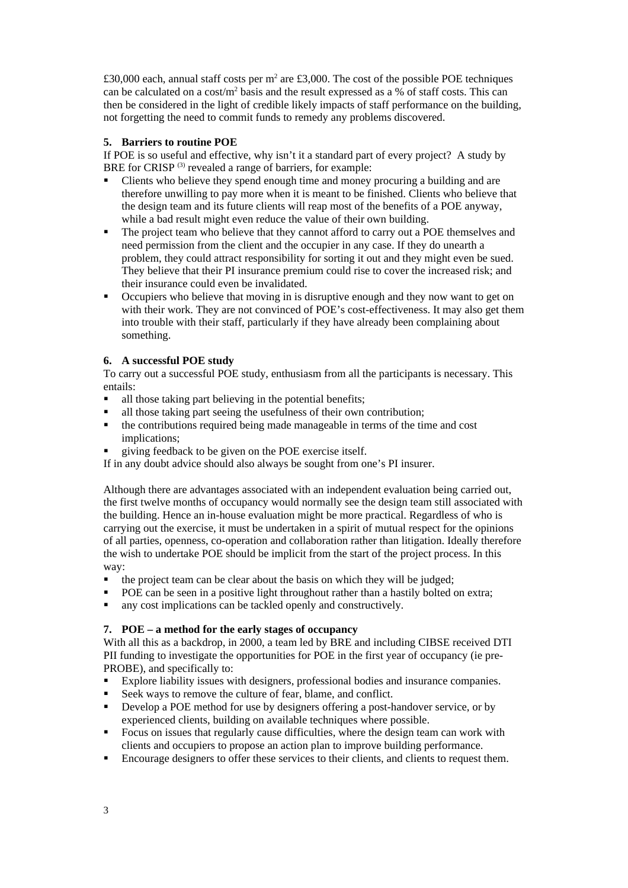£30,000 each, annual staff costs per m<sup>2</sup> are £3,000. The cost of the possible POE techniques can be calculated on a cost/ $m^2$  basis and the result expressed as a % of staff costs. This can then be considered in the light of credible likely impacts of staff performance on the building, not forgetting the need to commit funds to remedy any problems discovered.

## **5. Barriers to routine POE**

If POE is so useful and effective, why isn't it a standard part of every project? A study by BRE for CRISP<sup>(3)</sup> revealed a range of barriers, for example:

- ß Clients who believe they spend enough time and money procuring a building and are therefore unwilling to pay more when it is meant to be finished. Clients who believe that the design team and its future clients will reap most of the benefits of a POE anyway, while a bad result might even reduce the value of their own building.
- The project team who believe that they cannot afford to carry out a POE themselves and need permission from the client and the occupier in any case. If they do unearth a problem, they could attract responsibility for sorting it out and they might even be sued. They believe that their PI insurance premium could rise to cover the increased risk; and their insurance could even be invalidated.
- ß Occupiers who believe that moving in is disruptive enough and they now want to get on with their work. They are not convinced of POE's cost-effectiveness. It may also get them into trouble with their staff, particularly if they have already been complaining about something.

# **6. A successful POE study**

To carry out a successful POE study, enthusiasm from all the participants is necessary. This entails:

- $\blacksquare$  all those taking part believing in the potential benefits;
- ß all those taking part seeing the usefulness of their own contribution;
- ß the contributions required being made manageable in terms of the time and cost implications;
- ß giving feedback to be given on the POE exercise itself.

If in any doubt advice should also always be sought from one's PI insurer.

Although there are advantages associated with an independent evaluation being carried out, the first twelve months of occupancy would normally see the design team still associated with the building. Hence an in-house evaluation might be more practical. Regardless of who is carrying out the exercise, it must be undertaken in a spirit of mutual respect for the opinions of all parties, openness, co-operation and collaboration rather than litigation. Ideally therefore the wish to undertake POE should be implicit from the start of the project process. In this way:

- $\blacksquare$  the project team can be clear about the basis on which they will be judged;
- POE can be seen in a positive light throughout rather than a hastily bolted on extra;
- $\blacksquare$  any cost implications can be tackled openly and constructively.

## **7. POE – a method for the early stages of occupancy**

With all this as a backdrop, in 2000, a team led by BRE and including CIBSE received DTI PII funding to investigate the opportunities for POE in the first year of occupancy (ie pre-PROBE), and specifically to:

- ß Explore liability issues with designers, professional bodies and insurance companies.
- ß Seek ways to remove the culture of fear, blame, and conflict.
- ß Develop a POE method for use by designers offering a post-handover service, or by experienced clients, building on available techniques where possible.
- **Focus on issues that regularly cause difficulties, where the design team can work with** clients and occupiers to propose an action plan to improve building performance.
- ß Encourage designers to offer these services to their clients, and clients to request them.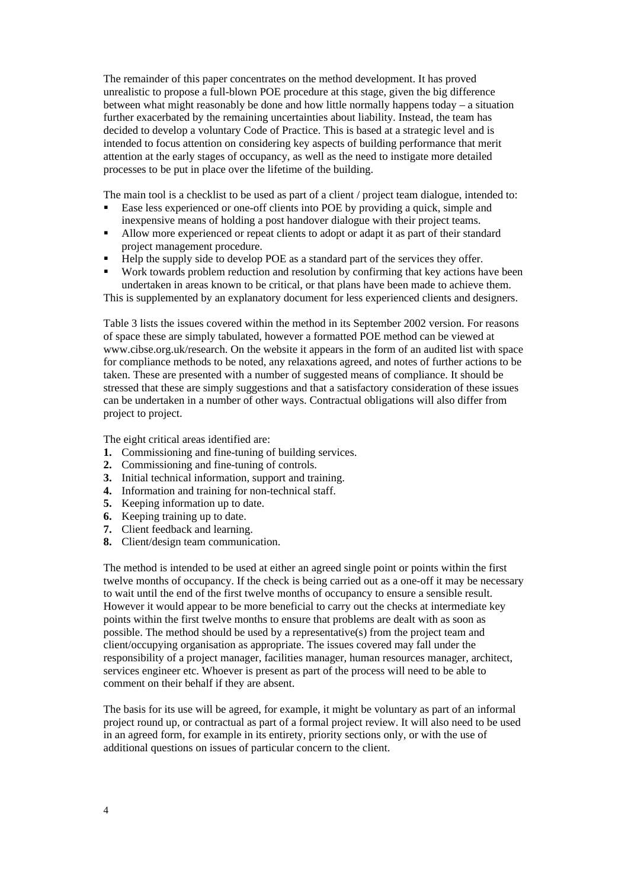The remainder of this paper concentrates on the method development. It has proved unrealistic to propose a full-blown POE procedure at this stage, given the big difference between what might reasonably be done and how little normally happens today – a situation further exacerbated by the remaining uncertainties about liability. Instead, the team has decided to develop a voluntary Code of Practice. This is based at a strategic level and is intended to focus attention on considering key aspects of building performance that merit attention at the early stages of occupancy, as well as the need to instigate more detailed processes to be put in place over the lifetime of the building.

The main tool is a checklist to be used as part of a client / project team dialogue, intended to:

- ß Ease less experienced or one-off clients into POE by providing a quick, simple and inexpensive means of holding a post handover dialogue with their project teams.
- ß Allow more experienced or repeat clients to adopt or adapt it as part of their standard project management procedure.
- Help the supply side to develop POE as a standard part of the services they offer.
- Work towards problem reduction and resolution by confirming that key actions have been undertaken in areas known to be critical, or that plans have been made to achieve them.

This is supplemented by an explanatory document for less experienced clients and designers.

Table 3 lists the issues covered within the method in its September 2002 version. For reasons of space these are simply tabulated, however a formatted POE method can be viewed at www.cibse.org.uk/research. On the website it appears in the form of an audited list with space for compliance methods to be noted, any relaxations agreed, and notes of further actions to be taken. These are presented with a number of suggested means of compliance. It should be stressed that these are simply suggestions and that a satisfactory consideration of these issues can be undertaken in a number of other ways. Contractual obligations will also differ from project to project.

The eight critical areas identified are:

- **1.** Commissioning and fine-tuning of building services.
- **2.** Commissioning and fine-tuning of controls.
- **3.** Initial technical information, support and training.
- **4.** Information and training for non-technical staff.
- **5.** Keeping information up to date.
- **6.** Keeping training up to date.
- **7.** Client feedback and learning.
- **8.** Client/design team communication.

The method is intended to be used at either an agreed single point or points within the first twelve months of occupancy. If the check is being carried out as a one-off it may be necessary to wait until the end of the first twelve months of occupancy to ensure a sensible result. However it would appear to be more beneficial to carry out the checks at intermediate key points within the first twelve months to ensure that problems are dealt with as soon as possible. The method should be used by a representative(s) from the project team and client/occupying organisation as appropriate. The issues covered may fall under the responsibility of a project manager, facilities manager, human resources manager, architect, services engineer etc. Whoever is present as part of the process will need to be able to comment on their behalf if they are absent.

The basis for its use will be agreed, for example, it might be voluntary as part of an informal project round up, or contractual as part of a formal project review. It will also need to be used in an agreed form, for example in its entirety, priority sections only, or with the use of additional questions on issues of particular concern to the client.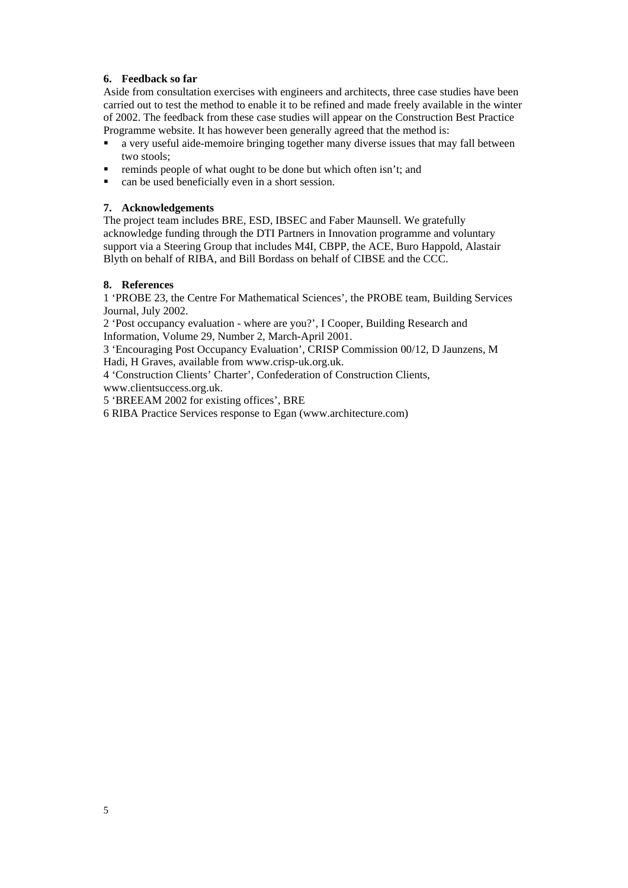## **6. Feedback so far**

Aside from consultation exercises with engineers and architects, three case studies have been carried out to test the method to enable it to be refined and made freely available in the winter of 2002. The feedback from these case studies will appear on the Construction Best Practice Programme website. It has however been generally agreed that the method is:

- **•** a very useful aide-memoire bringing together many diverse issues that may fall between two stools;
- ß reminds people of what ought to be done but which often isn't; and
- can be used beneficially even in a short session.

## **7. Acknowledgements**

The project team includes BRE, ESD, IBSEC and Faber Maunsell. We gratefully acknowledge funding through the DTI Partners in Innovation programme and voluntary support via a Steering Group that includes M4I, CBPP, the ACE, Buro Happold, Alastair Blyth on behalf of RIBA, and Bill Bordass on behalf of CIBSE and the CCC.

## **8. References**

1 'PROBE 23, the Centre For Mathematical Sciences', the PROBE team, Building Services Journal, July 2002.

2 'Post occupancy evaluation - where are you?', I Cooper, Building Research and Information, Volume 29, Number 2, March-April 2001.

3 'Encouraging Post Occupancy Evaluation', CRISP Commission 00/12, D Jaunzens, M Hadi, H Graves, available from www.crisp-uk.org.uk.

4 'Construction Clients' Charter', Confederation of Construction Clients, www.clientsuccess.org.uk.

5 'BREEAM 2002 for existing offices', BRE

6 RIBA Practice Services response to Egan (www.architecture.com)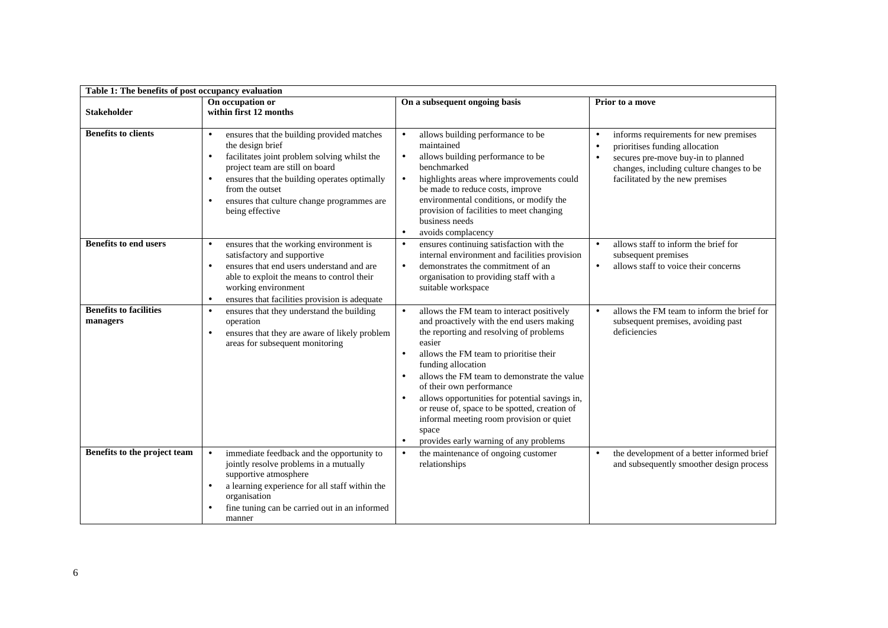| Table 1: The benefits of post occupancy evaluation |                                                                                                                                                                                                                                                                                       |                                                                                                                                                                                                                                                                                                                                                                                                                                                                                          |                                                                                                                                                                                                                                     |  |  |
|----------------------------------------------------|---------------------------------------------------------------------------------------------------------------------------------------------------------------------------------------------------------------------------------------------------------------------------------------|------------------------------------------------------------------------------------------------------------------------------------------------------------------------------------------------------------------------------------------------------------------------------------------------------------------------------------------------------------------------------------------------------------------------------------------------------------------------------------------|-------------------------------------------------------------------------------------------------------------------------------------------------------------------------------------------------------------------------------------|--|--|
| <b>Stakeholder</b>                                 | On occupation or<br>within first 12 months                                                                                                                                                                                                                                            | On a subsequent ongoing basis                                                                                                                                                                                                                                                                                                                                                                                                                                                            | Prior to a move                                                                                                                                                                                                                     |  |  |
| <b>Benefits to clients</b>                         | ensures that the building provided matches<br>the design brief<br>facilitates joint problem solving whilst the<br>project team are still on board<br>ensures that the building operates optimally<br>from the outset<br>ensures that culture change programmes are<br>being effective | allows building performance to be<br>maintained<br>allows building performance to be<br>benchmarked<br>highlights areas where improvements could<br>be made to reduce costs, improve<br>environmental conditions, or modify the<br>provision of facilities to meet changing<br>business needs<br>avoids complacency                                                                                                                                                                      | informs requirements for new premises<br>$\bullet$<br>prioritises funding allocation<br>$\bullet$<br>secures pre-move buy-in to planned<br>$\bullet$<br>changes, including culture changes to be<br>facilitated by the new premises |  |  |
| <b>Benefits to end users</b>                       | ensures that the working environment is<br>satisfactory and supportive<br>ensures that end users understand and are<br>able to exploit the means to control their<br>working environment<br>ensures that facilities provision is adequate                                             | ensures continuing satisfaction with the<br>internal environment and facilities provision<br>demonstrates the commitment of an<br>organisation to providing staff with a<br>suitable workspace                                                                                                                                                                                                                                                                                           | allows staff to inform the brief for<br>$\bullet$<br>subsequent premises<br>allows staff to voice their concerns                                                                                                                    |  |  |
| <b>Benefits to facilities</b><br>managers          | ensures that they understand the building<br>operation<br>ensures that they are aware of likely problem<br>areas for subsequent monitoring                                                                                                                                            | allows the FM team to interact positively<br>and proactively with the end users making<br>the reporting and resolving of problems<br>easier<br>allows the FM team to prioritise their<br>funding allocation<br>allows the FM team to demonstrate the value<br>of their own performance<br>allows opportunities for potential savings in,<br>or reuse of, space to be spotted, creation of<br>informal meeting room provision or quiet<br>space<br>provides early warning of any problems | allows the FM team to inform the brief for<br>$\bullet$<br>subsequent premises, avoiding past<br>deficiencies                                                                                                                       |  |  |
| Benefits to the project team                       | immediate feedback and the opportunity to<br>$\bullet$<br>jointly resolve problems in a mutually<br>supportive atmosphere<br>a learning experience for all staff within the<br>organisation<br>fine tuning can be carried out in an informed<br>manner                                | the maintenance of ongoing customer<br>relationships                                                                                                                                                                                                                                                                                                                                                                                                                                     | the development of a better informed brief<br>and subsequently smoother design process                                                                                                                                              |  |  |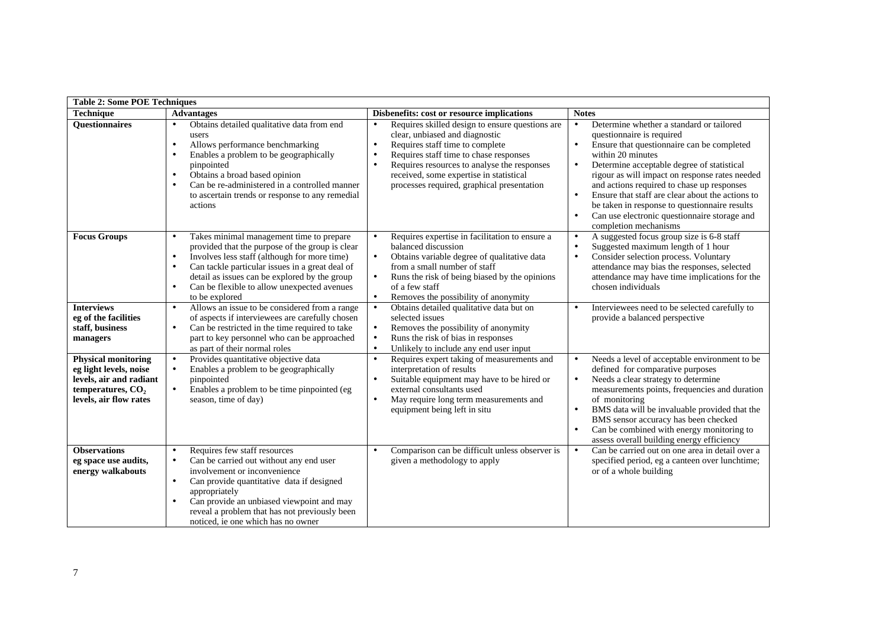|                                                                                                                                  | <b>Table 2: Some POE Techniques</b>                                                                                                                                                                                                                                                                                           |                                                                                                                                                                                                                                                                                                                                                                       |                                                                                                                                                                                                                                                                                                                                                                                                                                                                                                |  |  |  |  |
|----------------------------------------------------------------------------------------------------------------------------------|-------------------------------------------------------------------------------------------------------------------------------------------------------------------------------------------------------------------------------------------------------------------------------------------------------------------------------|-----------------------------------------------------------------------------------------------------------------------------------------------------------------------------------------------------------------------------------------------------------------------------------------------------------------------------------------------------------------------|------------------------------------------------------------------------------------------------------------------------------------------------------------------------------------------------------------------------------------------------------------------------------------------------------------------------------------------------------------------------------------------------------------------------------------------------------------------------------------------------|--|--|--|--|
| <b>Technique</b>                                                                                                                 | <b>Advantages</b>                                                                                                                                                                                                                                                                                                             | Disbenefits: cost or resource implications                                                                                                                                                                                                                                                                                                                            | <b>Notes</b>                                                                                                                                                                                                                                                                                                                                                                                                                                                                                   |  |  |  |  |
| <b>Ouestionnaires</b>                                                                                                            | Obtains detailed qualitative data from end<br>users<br>Allows performance benchmarking<br>$\bullet$<br>Enables a problem to be geographically<br>pinpointed<br>Obtains a broad based opinion<br>Can be re-administered in a controlled manner<br>to ascertain trends or response to any remedial<br>actions                   | Requires skilled design to ensure questions are<br>$\bullet$<br>clear, unbiased and diagnostic<br>$\ddot{\phantom{0}}$<br>Requires staff time to complete<br>Requires staff time to chase responses<br>$\bullet$<br>Requires resources to analyse the responses<br>$\bullet$<br>received, some expertise in statistical<br>processes required, graphical presentation | Determine whether a standard or tailored<br>questionnaire is required<br>Ensure that questionnaire can be completed<br>$\bullet$<br>within 20 minutes<br>Determine acceptable degree of statistical<br>$\bullet$<br>rigour as will impact on response rates needed<br>and actions required to chase up responses<br>Ensure that staff are clear about the actions to<br>be taken in response to questionnaire results<br>Can use electronic questionnaire storage and<br>completion mechanisms |  |  |  |  |
| <b>Focus Groups</b>                                                                                                              | Takes minimal management time to prepare<br>provided that the purpose of the group is clear<br>Involves less staff (although for more time)<br>$\bullet$<br>Can tackle particular issues in a great deal of<br>detail as issues can be explored by the group<br>Can be flexible to allow unexpected avenues<br>to be explored | Requires expertise in facilitation to ensure a<br>$\bullet$<br>balanced discussion<br>$\bullet$<br>Obtains variable degree of qualitative data<br>from a small number of staff<br>$\bullet$<br>Runs the risk of being biased by the opinions<br>of a few staff<br>$\ddot{\phantom{0}}$<br>Removes the possibility of anonymity                                        | A suggested focus group size is 6-8 staff<br>$\bullet$<br>Suggested maximum length of 1 hour<br>$\bullet$<br>Consider selection process. Voluntary<br>$\bullet$<br>attendance may bias the responses, selected<br>attendance may have time implications for the<br>chosen individuals                                                                                                                                                                                                          |  |  |  |  |
| <b>Interviews</b><br>eg of the facilities<br>staff, business<br>managers                                                         | Allows an issue to be considered from a range<br>of aspects if interviewees are carefully chosen<br>Can be restricted in the time required to take<br>part to key personnel who can be approached<br>as part of their normal roles                                                                                            | Obtains detailed qualitative data but on<br>$\bullet$<br>selected issues<br>Removes the possibility of anonymity<br>$\bullet$<br>Runs the risk of bias in responses<br>$\bullet$<br>$\ddot{\phantom{0}}$<br>Unlikely to include any end user input                                                                                                                    | Interviewees need to be selected carefully to<br>$\bullet$<br>provide a balanced perspective                                                                                                                                                                                                                                                                                                                                                                                                   |  |  |  |  |
| <b>Physical monitoring</b><br>eg light levels, noise<br>levels, air and radiant<br>temperatures, $CO2$<br>levels, air flow rates | Provides quantitative objective data<br>Enables a problem to be geographically<br>pinpointed<br>Enables a problem to be time pinpointed (eg<br>season, time of day)                                                                                                                                                           | Requires expert taking of measurements and<br>$\bullet$<br>interpretation of results<br>Suitable equipment may have to be hired or<br>$\bullet$<br>external consultants used<br>May require long term measurements and<br>$\bullet$<br>equipment being left in situ                                                                                                   | Needs a level of acceptable environment to be<br>$\bullet$<br>defined for comparative purposes<br>Needs a clear strategy to determine<br>$\bullet$<br>measurements points, frequencies and duration<br>of monitoring<br>BMS data will be invaluable provided that the<br>BMS sensor accuracy has been checked<br>Can be combined with energy monitoring to<br>assess overall building energy efficiency                                                                                        |  |  |  |  |
| <b>Observations</b><br>eg space use audits,<br>energy walkabouts                                                                 | Requires few staff resources<br>Can be carried out without any end user<br>$\bullet$<br>involvement or inconvenience<br>Can provide quantitative data if designed<br>appropriately<br>Can provide an unbiased viewpoint and may<br>reveal a problem that has not previously been<br>noticed, ie one which has no owner        | Comparison can be difficult unless observer is<br>$\bullet$<br>given a methodology to apply                                                                                                                                                                                                                                                                           | Can be carried out on one area in detail over a<br>$\bullet$<br>specified period, eg a canteen over lunchtime;<br>or of a whole building                                                                                                                                                                                                                                                                                                                                                       |  |  |  |  |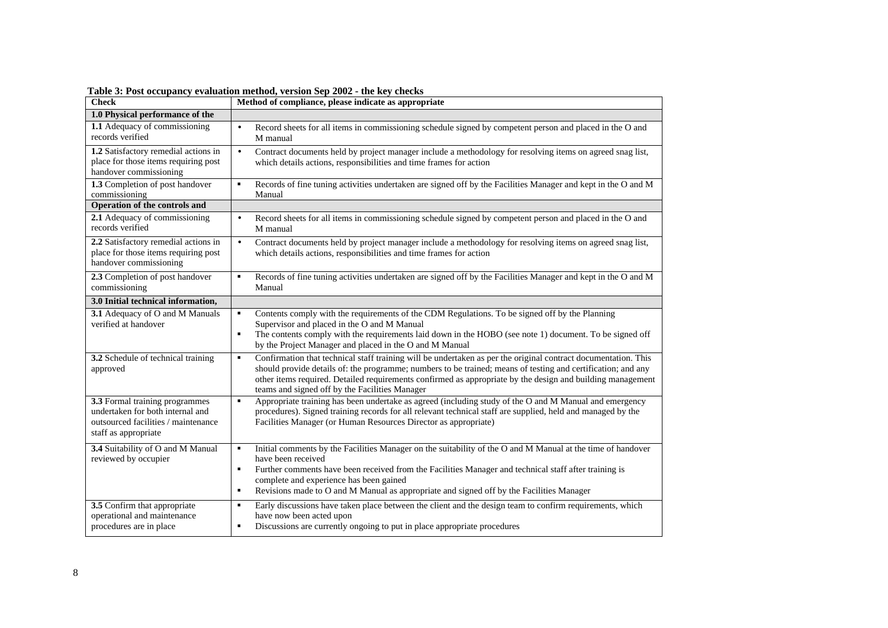| <b>Check</b>                                                                                                                      | Method of compliance, please indicate as appropriate                                                                                                                                                                                                                                                                                                                                                                                    |
|-----------------------------------------------------------------------------------------------------------------------------------|-----------------------------------------------------------------------------------------------------------------------------------------------------------------------------------------------------------------------------------------------------------------------------------------------------------------------------------------------------------------------------------------------------------------------------------------|
| 1.0 Physical performance of the                                                                                                   |                                                                                                                                                                                                                                                                                                                                                                                                                                         |
| 1.1 Adequacy of commissioning<br>records verified                                                                                 | Record sheets for all items in commissioning schedule signed by competent person and placed in the O and<br>$\bullet$<br>M manual                                                                                                                                                                                                                                                                                                       |
| 1.2 Satisfactory remedial actions in<br>place for those items requiring post<br>handover commissioning                            | $\bullet$<br>Contract documents held by project manager include a methodology for resolving items on agreed snag list,<br>which details actions, responsibilities and time frames for action                                                                                                                                                                                                                                            |
| 1.3 Completion of post handover<br>commissioning                                                                                  | Records of fine tuning activities undertaken are signed off by the Facilities Manager and kept in the O and M<br>Manual                                                                                                                                                                                                                                                                                                                 |
| Operation of the controls and                                                                                                     |                                                                                                                                                                                                                                                                                                                                                                                                                                         |
| 2.1 Adequacy of commissioning<br>records verified                                                                                 | $\bullet$<br>Record sheets for all items in commissioning schedule signed by competent person and placed in the O and<br>M manual                                                                                                                                                                                                                                                                                                       |
| 2.2 Satisfactory remedial actions in<br>place for those items requiring post<br>handover commissioning                            | $\bullet$<br>Contract documents held by project manager include a methodology for resolving items on agreed snag list,<br>which details actions, responsibilities and time frames for action                                                                                                                                                                                                                                            |
| 2.3 Completion of post handover<br>commissioning                                                                                  | Records of fine tuning activities undertaken are signed off by the Facilities Manager and kept in the O and M<br>٠,<br>Manual                                                                                                                                                                                                                                                                                                           |
| 3.0 Initial technical information,                                                                                                |                                                                                                                                                                                                                                                                                                                                                                                                                                         |
| 3.1 Adequacy of O and M Manuals<br>verified at handover                                                                           | Contents comply with the requirements of the CDM Regulations. To be signed off by the Planning<br>$\blacksquare$<br>Supervisor and placed in the O and M Manual<br>$\blacksquare$<br>The contents comply with the requirements laid down in the HOBO (see note 1) document. To be signed off<br>by the Project Manager and placed in the O and M Manual                                                                                 |
| 3.2 Schedule of technical training<br>approved                                                                                    | Confirmation that technical staff training will be undertaken as per the original contract documentation. This<br>$\blacksquare$<br>should provide details of: the programme; numbers to be trained; means of testing and certification; and any<br>other items required. Detailed requirements confirmed as appropriate by the design and building management<br>teams and signed off by the Facilities Manager                        |
| 3.3 Formal training programmes<br>undertaken for both internal and<br>outsourced facilities / maintenance<br>staff as appropriate | Appropriate training has been undertake as agreed (including study of the O and M Manual and emergency<br>$\blacksquare$<br>procedures). Signed training records for all relevant technical staff are supplied, held and managed by the<br>Facilities Manager (or Human Resources Director as appropriate)                                                                                                                              |
| 3.4 Suitability of O and M Manual<br>reviewed by occupier                                                                         | Initial comments by the Facilities Manager on the suitability of the O and M Manual at the time of handover<br>$\blacksquare$<br>have been received<br>$\blacksquare$<br>Further comments have been received from the Facilities Manager and technical staff after training is<br>complete and experience has been gained<br>Revisions made to O and M Manual as appropriate and signed off by the Facilities Manager<br>$\blacksquare$ |
| 3.5 Confirm that appropriate<br>operational and maintenance<br>procedures are in place                                            | Early discussions have taken place between the client and the design team to confirm requirements, which<br>$\blacksquare$<br>have now been acted upon<br>Discussions are currently ongoing to put in place appropriate procedures<br>٠                                                                                                                                                                                                 |

**Table 3: Post occupancy evaluation method, version Sep 2002 - the key checks**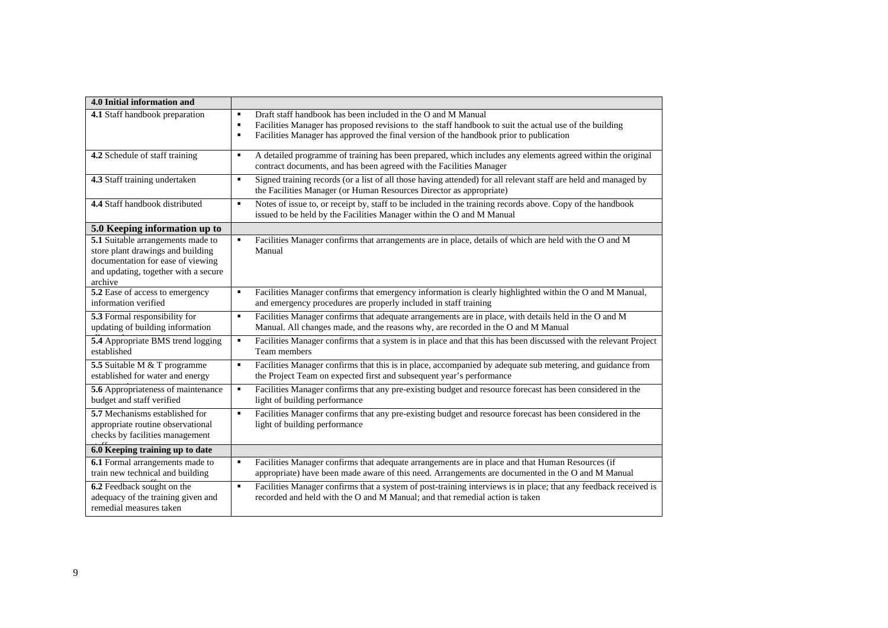| 4.0 Initial information and                                                                                                                                    |                                                                                                                                                                                                                                                                                              |
|----------------------------------------------------------------------------------------------------------------------------------------------------------------|----------------------------------------------------------------------------------------------------------------------------------------------------------------------------------------------------------------------------------------------------------------------------------------------|
| 4.1 Staff handbook preparation                                                                                                                                 | Draft staff handbook has been included in the O and M Manual<br>٠<br>Facilities Manager has proposed revisions to the staff handbook to suit the actual use of the building<br>٠<br>Facilities Manager has approved the final version of the handbook prior to publication<br>$\blacksquare$ |
| 4.2 Schedule of staff training                                                                                                                                 | A detailed programme of training has been prepared, which includes any elements agreed within the original<br>٠<br>contract documents, and has been agreed with the Facilities Manager                                                                                                       |
| 4.3 Staff training undertaken                                                                                                                                  | Signed training records (or a list of all those having attended) for all relevant staff are held and managed by<br>$\blacksquare$<br>the Facilities Manager (or Human Resources Director as appropriate)                                                                                     |
| 4.4 Staff handbook distributed                                                                                                                                 | Notes of issue to, or receipt by, staff to be included in the training records above. Copy of the handbook<br>٠<br>issued to be held by the Facilities Manager within the O and M Manual                                                                                                     |
| 5.0 Keeping information up to                                                                                                                                  |                                                                                                                                                                                                                                                                                              |
| 5.1 Suitable arrangements made to<br>store plant drawings and building<br>documentation for ease of viewing<br>and updating, together with a secure<br>archive | Facilities Manager confirms that arrangements are in place, details of which are held with the O and M<br>$\blacksquare$<br>Manual                                                                                                                                                           |
| 5.2 Ease of access to emergency<br>information verified                                                                                                        | Facilities Manager confirms that emergency information is clearly highlighted within the O and M Manual,<br>٠<br>and emergency procedures are properly included in staff training                                                                                                            |
| 5.3 Formal responsibility for<br>updating of building information                                                                                              | Facilities Manager confirms that adequate arrangements are in place, with details held in the O and M<br>$\blacksquare$<br>Manual. All changes made, and the reasons why, are recorded in the O and M Manual                                                                                 |
| 5.4 Appropriate BMS trend logging<br>established                                                                                                               | Facilities Manager confirms that a system is in place and that this has been discussed with the relevant Project<br>$\blacksquare$<br>Team members                                                                                                                                           |
| 5.5 Suitable M & T programme<br>established for water and energy                                                                                               | Facilities Manager confirms that this is in place, accompanied by adequate sub metering, and guidance from<br>$\blacksquare$<br>the Project Team on expected first and subsequent year's performance                                                                                         |
| 5.6 Appropriateness of maintenance<br>budget and staff verified                                                                                                | Facilities Manager confirms that any pre-existing budget and resource forecast has been considered in the<br>$\blacksquare$<br>light of building performance                                                                                                                                 |
| 5.7 Mechanisms established for<br>appropriate routine observational<br>checks by facilities management                                                         | Facilities Manager confirms that any pre-existing budget and resource forecast has been considered in the<br>$\blacksquare$<br>light of building performance                                                                                                                                 |
| 6.0 Keeping training up to date                                                                                                                                |                                                                                                                                                                                                                                                                                              |
| 6.1 Formal arrangements made to<br>train new technical and building                                                                                            | Facilities Manager confirms that adequate arrangements are in place and that Human Resources (if<br>٠<br>appropriate) have been made aware of this need. Arrangements are documented in the O and M Manual                                                                                   |
| 6.2 Feedback sought on the<br>adequacy of the training given and<br>remedial measures taken                                                                    | Facilities Manager confirms that a system of post-training interviews is in place; that any feedback received is<br>$\blacksquare$<br>recorded and held with the O and M Manual; and that remedial action is taken                                                                           |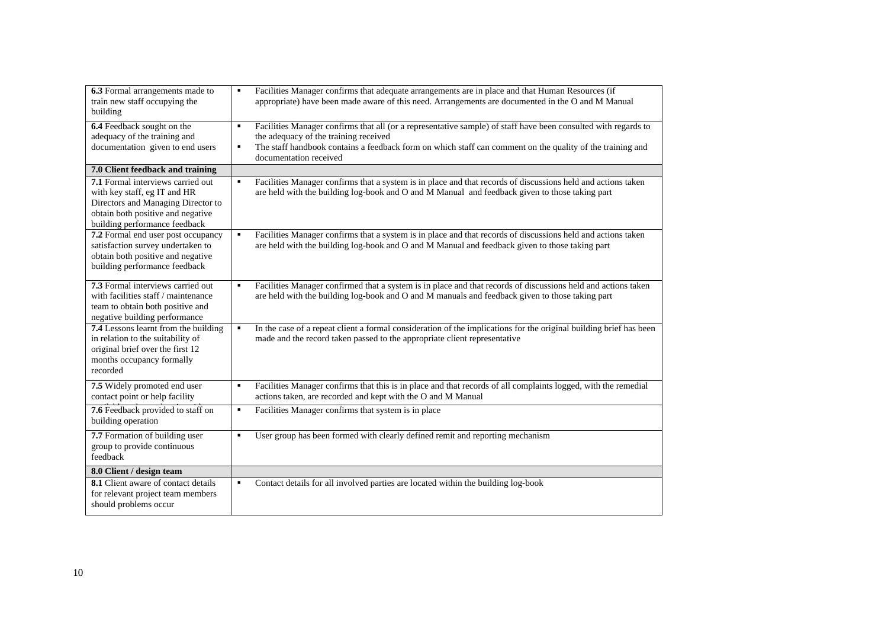| 6.3 Formal arrangements made to      | ٠, | Facilities Manager confirms that adequate arrangements are in place and that Human Resources (if                                    |
|--------------------------------------|----|-------------------------------------------------------------------------------------------------------------------------------------|
| train new staff occupying the        |    | appropriate) have been made aware of this need. Arrangements are documented in the O and M Manual                                   |
| building                             |    |                                                                                                                                     |
| 6.4 Feedback sought on the           | ٠, | Facilities Manager confirms that all (or a representative sample) of staff have been consulted with regards to                      |
| adequacy of the training and         |    | the adequacy of the training received                                                                                               |
| documentation given to end users     | ٠  | The staff handbook contains a feedback form on which staff can comment on the quality of the training and<br>documentation received |
| 7.0 Client feedback and training     |    |                                                                                                                                     |
| 7.1 Formal interviews carried out    | ٠  | Facilities Manager confirms that a system is in place and that records of discussions held and actions taken                        |
| with key staff, eg IT and HR         |    | are held with the building log-book and O and M Manual and feedback given to those taking part                                      |
| Directors and Managing Director to   |    |                                                                                                                                     |
| obtain both positive and negative    |    |                                                                                                                                     |
| building performance feedback        |    |                                                                                                                                     |
| 7.2 Formal end user post occupancy   | ٠  | Facilities Manager confirms that a system is in place and that records of discussions held and actions taken                        |
| satisfaction survey undertaken to    |    | are held with the building log-book and O and M Manual and feedback given to those taking part                                      |
| obtain both positive and negative    |    |                                                                                                                                     |
| building performance feedback        |    |                                                                                                                                     |
| 7.3 Formal interviews carried out    | ٠, | Facilities Manager confirmed that a system is in place and that records of discussions held and actions taken                       |
| with facilities staff / maintenance  |    | are held with the building log-book and O and M manuals and feedback given to those taking part                                     |
| team to obtain both positive and     |    |                                                                                                                                     |
| negative building performance        |    |                                                                                                                                     |
| 7.4 Lessons learnt from the building | ٠  | In the case of a repeat client a formal consideration of the implications for the original building brief has been                  |
| in relation to the suitability of    |    | made and the record taken passed to the appropriate client representative                                                           |
| original brief over the first 12     |    |                                                                                                                                     |
| months occupancy formally            |    |                                                                                                                                     |
| recorded                             |    |                                                                                                                                     |
| 7.5 Widely promoted end user         | ٠  | Facilities Manager confirms that this is in place and that records of all complaints logged, with the remedial                      |
| contact point or help facility       |    | actions taken, are recorded and kept with the O and M Manual                                                                        |
| 7.6 Feedback provided to staff on    | ٠. | Facilities Manager confirms that system is in place                                                                                 |
| building operation                   |    |                                                                                                                                     |
| 7.7 Formation of building user       | ٠  | User group has been formed with clearly defined remit and reporting mechanism                                                       |
| group to provide continuous          |    |                                                                                                                                     |
| feedback                             |    |                                                                                                                                     |
| 8.0 Client / design team             |    |                                                                                                                                     |
| 8.1 Client aware of contact details  | ٠  | Contact details for all involved parties are located within the building log-book                                                   |
| for relevant project team members    |    |                                                                                                                                     |
| should problems occur                |    |                                                                                                                                     |